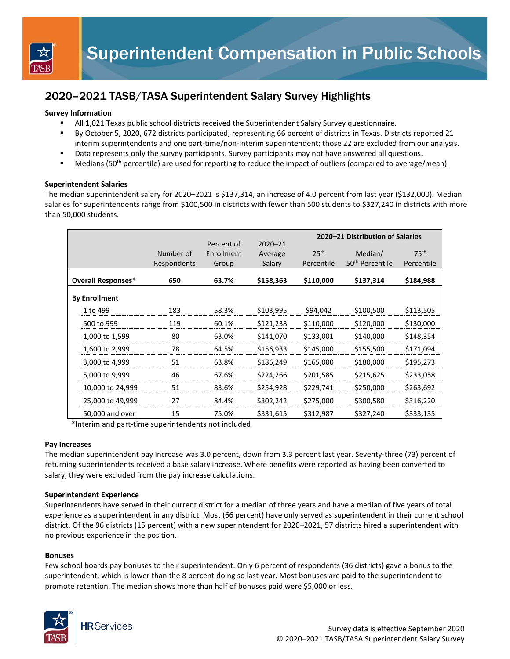

# 2020–2021 TASB/TASA Superintendent Salary Survey Highlights

### **Survey Information**

- All 1,021 Texas public school districts received the Superintendent Salary Survey questionnaire.
- By October 5, 2020, 672 districts participated, representing 66 percent of districts in Texas. Districts reported 21 interim superintendents and one part-time/non-interim superintendent; those 22 are excluded from our analysis.
- Data represents only the survey participants. Survey participants may not have answered all questions.
- Medians (50<sup>th</sup> percentile) are used for reporting to reduce the impact of outliers (compared to average/mean).

#### **Superintendent Salaries**

The median superintendent salary for 2020–2021 is \$137,314, an increase of 4.0 percent from last year (\$132,000). Median salaries for superintendents range from \$100,500 in districts with fewer than 500 students to \$327,240 in districts with more than 50,000 students.

|  |                           |             | Percent of | $2020 - 21$ | 2020–21 Distribution of Salaries |                             |                  |
|--|---------------------------|-------------|------------|-------------|----------------------------------|-----------------------------|------------------|
|  |                           | Number of   | Enrollment |             | 25 <sup>th</sup>                 | Median/                     | 75 <sup>th</sup> |
|  |                           |             |            | Average     |                                  |                             |                  |
|  |                           | Respondents | Group      | Salary      | Percentile                       | 50 <sup>th</sup> Percentile | Percentile       |
|  |                           |             |            |             |                                  |                             |                  |
|  | <b>Overall Responses*</b> | 650         | 63.7%      | \$158,363   | \$110,000                        | \$137,314                   | \$184,988        |
|  |                           |             |            |             |                                  |                             |                  |
|  | <b>By Enrollment</b>      |             |            |             |                                  |                             |                  |
|  | 1 to 499                  | 183         | 58.3%      | \$103,995   | \$94,042                         | \$100,500                   | \$113,505        |
|  | 500 to 999                | 119         | 60.1%      | \$121,238   | \$110,000                        | \$120,000                   | \$130,000        |
|  | 1,000 to 1,599            | 80          | 63.0%      | \$141,070   | \$133,001                        | \$140,000                   | \$148,354        |
|  | 1,600 to 2,999            | 78          | 64.5%      | \$156,933   | \$145,000                        | \$155,500                   | \$171,094        |
|  | 3,000 to 4,999            | 51          | 63.8%      | \$186,249   | \$165,000                        | \$180,000                   | \$195,273        |
|  | 5,000 to 9,999            | 46          | 67.6%      | \$224,266   | \$201,585                        | \$215,625                   | \$233,058        |
|  | 10,000 to 24,999          | 51          | 83.6%      | \$254,928   | \$229,741                        | \$250,000                   | \$263,692        |
|  | 25,000 to 49,999          | 27          | 84.4%      | \$302,242   | \$275,000                        | \$300,580                   | \$316,220        |
|  | 50,000 and over           | 15          | 75.0%      | \$331,615   | \$312,987                        | \$327,240                   | \$333,135        |

\*Interim and part-time superintendents not included

#### **Pay Increases**

The median superintendent pay increase was 3.0 percent, down from 3.3 percent last year. Seventy-three (73) percent of returning superintendents received a base salary increase. Where benefits were reported as having been converted to salary, they were excluded from the pay increase calculations.

#### **Superintendent Experience**

Superintendents have served in their current district for a median of three years and have a median of five years of total experience as a superintendent in any district. Most (66 percent) have only served as superintendent in their current school district. Of the 96 districts (15 percent) with a new superintendent for 2020–2021, 57 districts hired a superintendent with no previous experience in the position.

#### **Bonuses**

Few school boards pay bonuses to their superintendent. Only 6 percent of respondents (36 districts) gave a bonus to the superintendent, which is lower than the 8 percent doing so last year. Most bonuses are paid to the superintendent to promote retention. The median shows more than half of bonuses paid were \$5,000 or less.